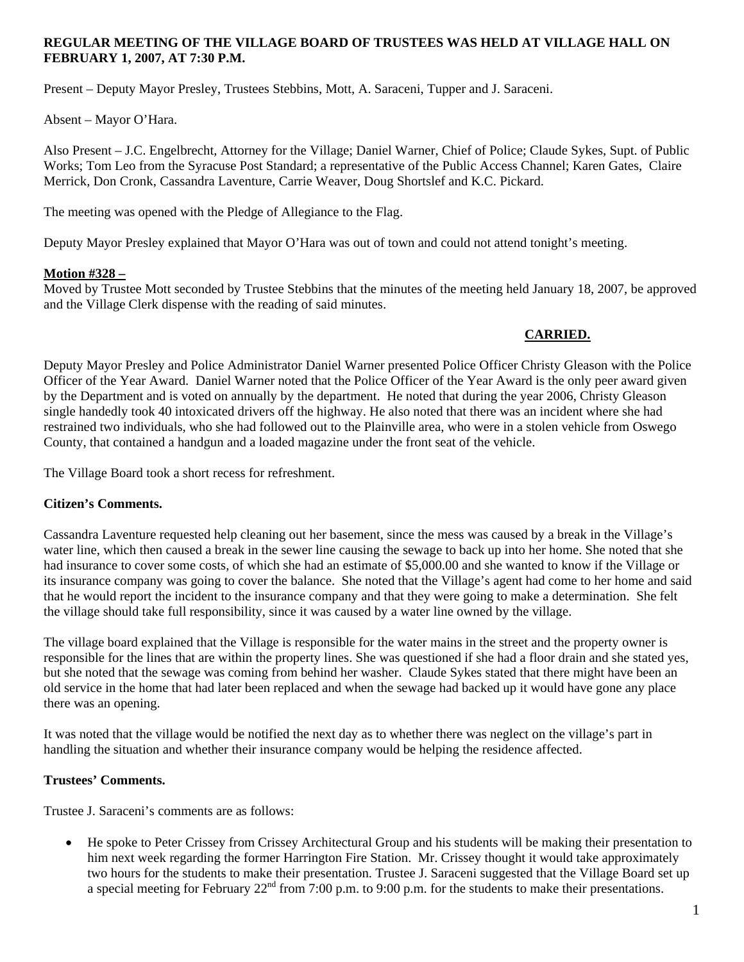#### **REGULAR MEETING OF THE VILLAGE BOARD OF TRUSTEES WAS HELD AT VILLAGE HALL ON FEBRUARY 1, 2007, AT 7:30 P.M.**

Present – Deputy Mayor Presley, Trustees Stebbins, Mott, A. Saraceni, Tupper and J. Saraceni.

Absent – Mayor O'Hara.

Also Present – J.C. Engelbrecht, Attorney for the Village; Daniel Warner, Chief of Police; Claude Sykes, Supt. of Public Works; Tom Leo from the Syracuse Post Standard; a representative of the Public Access Channel; Karen Gates, Claire Merrick, Don Cronk, Cassandra Laventure, Carrie Weaver, Doug Shortslef and K.C. Pickard.

The meeting was opened with the Pledge of Allegiance to the Flag.

Deputy Mayor Presley explained that Mayor O'Hara was out of town and could not attend tonight's meeting.

# **Motion #328 –**

Moved by Trustee Mott seconded by Trustee Stebbins that the minutes of the meeting held January 18, 2007, be approved and the Village Clerk dispense with the reading of said minutes.

# **CARRIED.**

Deputy Mayor Presley and Police Administrator Daniel Warner presented Police Officer Christy Gleason with the Police Officer of the Year Award. Daniel Warner noted that the Police Officer of the Year Award is the only peer award given by the Department and is voted on annually by the department. He noted that during the year 2006, Christy Gleason single handedly took 40 intoxicated drivers off the highway. He also noted that there was an incident where she had restrained two individuals, who she had followed out to the Plainville area, who were in a stolen vehicle from Oswego County, that contained a handgun and a loaded magazine under the front seat of the vehicle.

The Village Board took a short recess for refreshment.

#### **Citizen's Comments.**

Cassandra Laventure requested help cleaning out her basement, since the mess was caused by a break in the Village's water line, which then caused a break in the sewer line causing the sewage to back up into her home. She noted that she had insurance to cover some costs, of which she had an estimate of \$5,000.00 and she wanted to know if the Village or its insurance company was going to cover the balance. She noted that the Village's agent had come to her home and said that he would report the incident to the insurance company and that they were going to make a determination. She felt the village should take full responsibility, since it was caused by a water line owned by the village.

The village board explained that the Village is responsible for the water mains in the street and the property owner is responsible for the lines that are within the property lines. She was questioned if she had a floor drain and she stated yes, but she noted that the sewage was coming from behind her washer. Claude Sykes stated that there might have been an old service in the home that had later been replaced and when the sewage had backed up it would have gone any place there was an opening.

It was noted that the village would be notified the next day as to whether there was neglect on the village's part in handling the situation and whether their insurance company would be helping the residence affected.

# **Trustees' Comments.**

Trustee J. Saraceni's comments are as follows:

• He spoke to Peter Crissey from Crissey Architectural Group and his students will be making their presentation to him next week regarding the former Harrington Fire Station. Mr. Crissey thought it would take approximately two hours for the students to make their presentation. Trustee J. Saraceni suggested that the Village Board set up a special meeting for February  $22^{nd}$  from 7:00 p.m. to 9:00 p.m. for the students to make their presentations.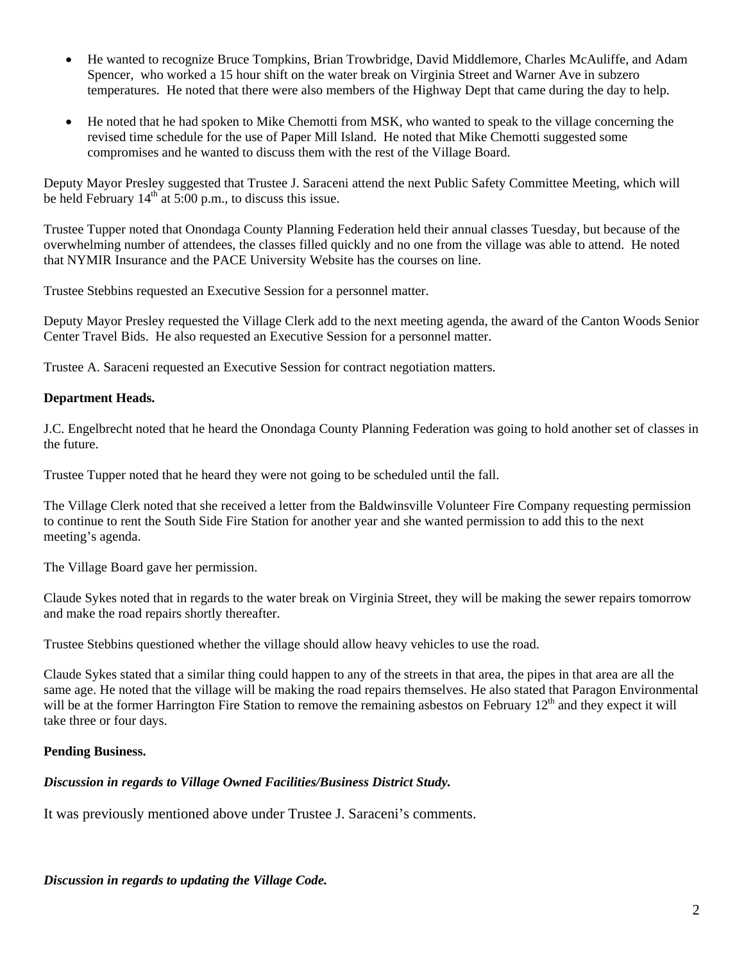- He wanted to recognize Bruce Tompkins, Brian Trowbridge, David Middlemore, Charles McAuliffe, and Adam Spencer, who worked a 15 hour shift on the water break on Virginia Street and Warner Ave in subzero temperatures. He noted that there were also members of the Highway Dept that came during the day to help.
- He noted that he had spoken to Mike Chemotti from MSK, who wanted to speak to the village concerning the revised time schedule for the use of Paper Mill Island. He noted that Mike Chemotti suggested some compromises and he wanted to discuss them with the rest of the Village Board.

Deputy Mayor Presley suggested that Trustee J. Saraceni attend the next Public Safety Committee Meeting, which will be held February  $14<sup>th</sup>$  at 5:00 p.m., to discuss this issue.

Trustee Tupper noted that Onondaga County Planning Federation held their annual classes Tuesday, but because of the overwhelming number of attendees, the classes filled quickly and no one from the village was able to attend. He noted that NYMIR Insurance and the PACE University Website has the courses on line.

Trustee Stebbins requested an Executive Session for a personnel matter.

Deputy Mayor Presley requested the Village Clerk add to the next meeting agenda, the award of the Canton Woods Senior Center Travel Bids. He also requested an Executive Session for a personnel matter.

Trustee A. Saraceni requested an Executive Session for contract negotiation matters.

#### **Department Heads.**

J.C. Engelbrecht noted that he heard the Onondaga County Planning Federation was going to hold another set of classes in the future.

Trustee Tupper noted that he heard they were not going to be scheduled until the fall.

The Village Clerk noted that she received a letter from the Baldwinsville Volunteer Fire Company requesting permission to continue to rent the South Side Fire Station for another year and she wanted permission to add this to the next meeting's agenda.

The Village Board gave her permission.

Claude Sykes noted that in regards to the water break on Virginia Street, they will be making the sewer repairs tomorrow and make the road repairs shortly thereafter.

Trustee Stebbins questioned whether the village should allow heavy vehicles to use the road.

Claude Sykes stated that a similar thing could happen to any of the streets in that area, the pipes in that area are all the same age. He noted that the village will be making the road repairs themselves. He also stated that Paragon Environmental will be at the former Harrington Fire Station to remove the remaining asbestos on February  $12<sup>th</sup>$  and they expect it will take three or four days.

# **Pending Business.**

# *Discussion in regards to Village Owned Facilities/Business District Study.*

It was previously mentioned above under Trustee J. Saraceni's comments.

*Discussion in regards to updating the Village Code.*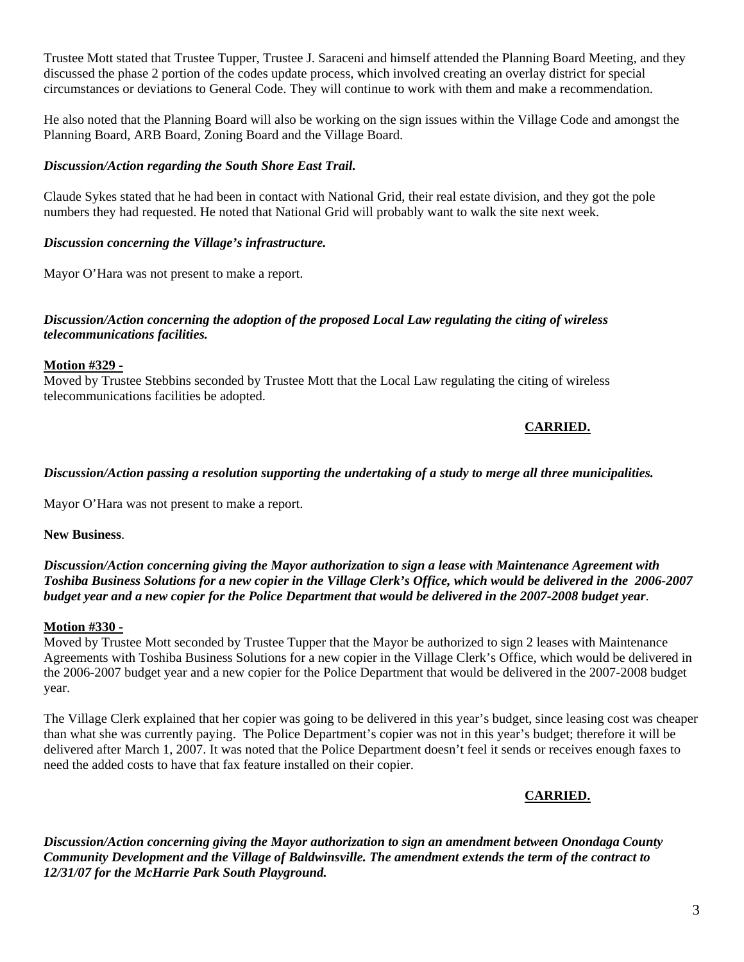Trustee Mott stated that Trustee Tupper, Trustee J. Saraceni and himself attended the Planning Board Meeting, and they discussed the phase 2 portion of the codes update process, which involved creating an overlay district for special circumstances or deviations to General Code. They will continue to work with them and make a recommendation.

He also noted that the Planning Board will also be working on the sign issues within the Village Code and amongst the Planning Board, ARB Board, Zoning Board and the Village Board.

#### *Discussion/Action regarding the South Shore East Trail.*

Claude Sykes stated that he had been in contact with National Grid, their real estate division, and they got the pole numbers they had requested. He noted that National Grid will probably want to walk the site next week.

#### *Discussion concerning the Village's infrastructure.*

Mayor O'Hara was not present to make a report.

#### *Discussion/Action concerning the adoption of the proposed Local Law regulating the citing of wireless telecommunications facilities.*

#### **Motion #329 -**

Moved by Trustee Stebbins seconded by Trustee Mott that the Local Law regulating the citing of wireless telecommunications facilities be adopted.

# **CARRIED.**

#### *Discussion/Action passing a resolution supporting the undertaking of a study to merge all three municipalities.*

Mayor O'Hara was not present to make a report.

**New Business**.

#### *Discussion/Action concerning giving the Mayor authorization to sign a lease with Maintenance Agreement with Toshiba Business Solutions for a new copier in the Village Clerk's Office, which would be delivered in the 2006-2007 budget year and a new copier for the Police Department that would be delivered in the 2007-2008 budget year*.

#### **Motion #330 -**

Moved by Trustee Mott seconded by Trustee Tupper that the Mayor be authorized to sign 2 leases with Maintenance Agreements with Toshiba Business Solutions for a new copier in the Village Clerk's Office, which would be delivered in the 2006-2007 budget year and a new copier for the Police Department that would be delivered in the 2007-2008 budget year.

The Village Clerk explained that her copier was going to be delivered in this year's budget, since leasing cost was cheaper than what she was currently paying. The Police Department's copier was not in this year's budget; therefore it will be delivered after March 1, 2007. It was noted that the Police Department doesn't feel it sends or receives enough faxes to need the added costs to have that fax feature installed on their copier.

**CARRIED.**

*Discussion/Action concerning giving the Mayor authorization to sign an amendment between Onondaga County Community Development and the Village of Baldwinsville. The amendment extends the term of the contract to 12/31/07 for the McHarrie Park South Playground.*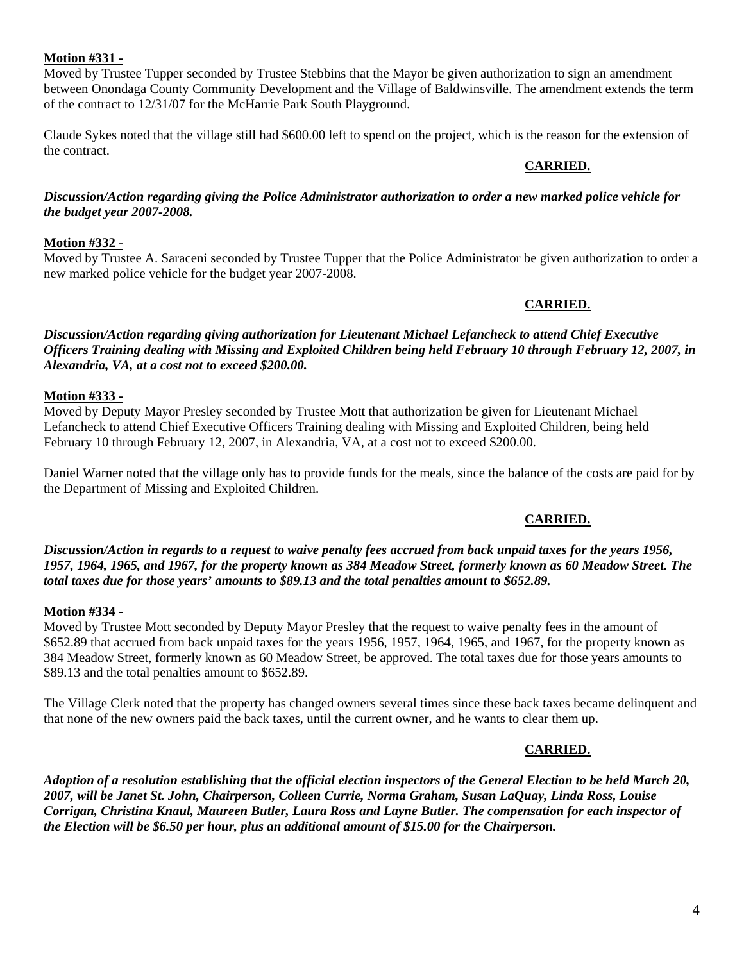#### **Motion #331 -**

Moved by Trustee Tupper seconded by Trustee Stebbins that the Mayor be given authorization to sign an amendment between Onondaga County Community Development and the Village of Baldwinsville. The amendment extends the term of the contract to 12/31/07 for the McHarrie Park South Playground.

Claude Sykes noted that the village still had \$600.00 left to spend on the project, which is the reason for the extension of the contract.

#### **CARRIED.**

#### *Discussion/Action regarding giving the Police Administrator authorization to order a new marked police vehicle for the budget year 2007-2008.*

#### **Motion #332 -**

Moved by Trustee A. Saraceni seconded by Trustee Tupper that the Police Administrator be given authorization to order a new marked police vehicle for the budget year 2007-2008.

# **CARRIED.**

*Discussion/Action regarding giving authorization for Lieutenant Michael Lefancheck to attend Chief Executive Officers Training dealing with Missing and Exploited Children being held February 10 through February 12, 2007, in Alexandria, VA, at a cost not to exceed \$200.00.* 

#### **Motion #333 -**

Moved by Deputy Mayor Presley seconded by Trustee Mott that authorization be given for Lieutenant Michael Lefancheck to attend Chief Executive Officers Training dealing with Missing and Exploited Children, being held February 10 through February 12, 2007, in Alexandria, VA, at a cost not to exceed \$200.00.

Daniel Warner noted that the village only has to provide funds for the meals, since the balance of the costs are paid for by the Department of Missing and Exploited Children.

# **CARRIED.**

*Discussion/Action in regards to a request to waive penalty fees accrued from back unpaid taxes for the years 1956, 1957, 1964, 1965, and 1967, for the property known as 384 Meadow Street, formerly known as 60 Meadow Street. The total taxes due for those years' amounts to \$89.13 and the total penalties amount to \$652.89.* 

# **Motion #334 -**

Moved by Trustee Mott seconded by Deputy Mayor Presley that the request to waive penalty fees in the amount of \$652.89 that accrued from back unpaid taxes for the years 1956, 1957, 1964, 1965, and 1967, for the property known as 384 Meadow Street, formerly known as 60 Meadow Street, be approved. The total taxes due for those years amounts to \$89.13 and the total penalties amount to \$652.89.

The Village Clerk noted that the property has changed owners several times since these back taxes became delinquent and that none of the new owners paid the back taxes, until the current owner, and he wants to clear them up.

# **CARRIED.**

*Adoption of a resolution establishing that the official election inspectors of the General Election to be held March 20, 2007, will be Janet St. John, Chairperson, Colleen Currie, Norma Graham, Susan LaQuay, Linda Ross, Louise Corrigan, Christina Knaul, Maureen Butler, Laura Ross and Layne Butler. The compensation for each inspector of the Election will be \$6.50 per hour, plus an additional amount of \$15.00 for the Chairperson.*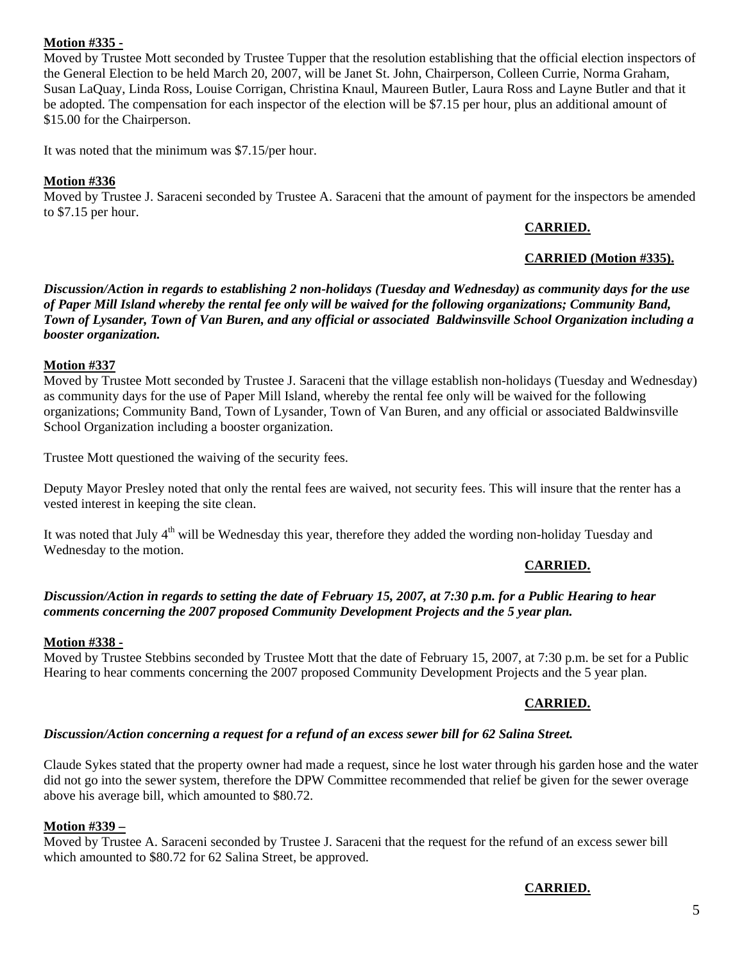# **Motion #335 -**

Moved by Trustee Mott seconded by Trustee Tupper that the resolution establishing that the official election inspectors of the General Election to be held March 20, 2007, will be Janet St. John, Chairperson, Colleen Currie, Norma Graham, Susan LaQuay, Linda Ross, Louise Corrigan, Christina Knaul, Maureen Butler, Laura Ross and Layne Butler and that it be adopted. The compensation for each inspector of the election will be \$7.15 per hour, plus an additional amount of \$15.00 for the Chairperson.

It was noted that the minimum was \$7.15/per hour.

# **Motion #336**

Moved by Trustee J. Saraceni seconded by Trustee A. Saraceni that the amount of payment for the inspectors be amended to \$7.15 per hour.

# **CARRIED.**

# **CARRIED (Motion #335).**

*Discussion/Action in regards to establishing 2 non-holidays (Tuesday and Wednesday) as community days for the use of Paper Mill Island whereby the rental fee only will be waived for the following organizations; Community Band, Town of Lysander, Town of Van Buren, and any official or associated Baldwinsville School Organization including a booster organization.* 

#### **Motion #337**

Moved by Trustee Mott seconded by Trustee J. Saraceni that the village establish non-holidays (Tuesday and Wednesday) as community days for the use of Paper Mill Island, whereby the rental fee only will be waived for the following organizations; Community Band, Town of Lysander, Town of Van Buren, and any official or associated Baldwinsville School Organization including a booster organization.

Trustee Mott questioned the waiving of the security fees.

Deputy Mayor Presley noted that only the rental fees are waived, not security fees. This will insure that the renter has a vested interest in keeping the site clean.

It was noted that July 4<sup>th</sup> will be Wednesday this year, therefore they added the wording non-holiday Tuesday and Wednesday to the motion.

# **CARRIED.**

#### *Discussion/Action in regards to setting the date of February 15, 2007, at 7:30 p.m. for a Public Hearing to hear comments concerning the 2007 proposed Community Development Projects and the 5 year plan.*

# **Motion #338 -**

Moved by Trustee Stebbins seconded by Trustee Mott that the date of February 15, 2007, at 7:30 p.m. be set for a Public Hearing to hear comments concerning the 2007 proposed Community Development Projects and the 5 year plan.

# **CARRIED.**

# *Discussion/Action concerning a request for a refund of an excess sewer bill for 62 Salina Street.*

Claude Sykes stated that the property owner had made a request, since he lost water through his garden hose and the water did not go into the sewer system, therefore the DPW Committee recommended that relief be given for the sewer overage above his average bill, which amounted to \$80.72.

# **Motion #339 –**

Moved by Trustee A. Saraceni seconded by Trustee J. Saraceni that the request for the refund of an excess sewer bill which amounted to \$80.72 for 62 Salina Street, be approved.

# **CARRIED.**